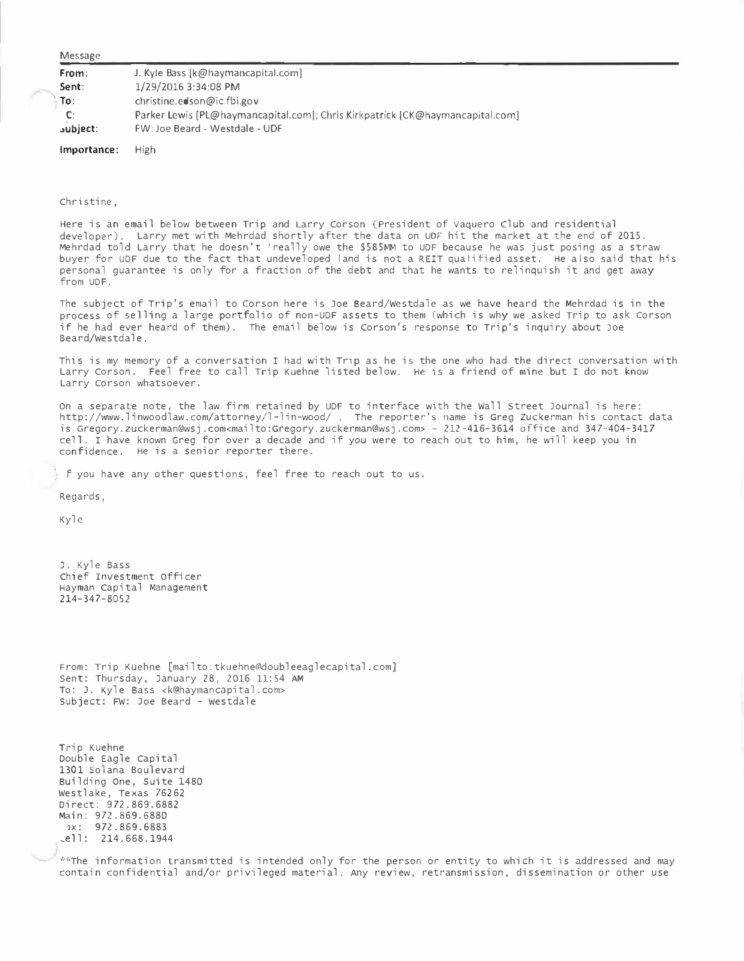| Message |
|---------|
|         |

| From:           | J. Kyle Bass [k@haymancapital.com]                                            |
|-----------------|-------------------------------------------------------------------------------|
| Sent:           | 1/29/2016 3:34:08 PM                                                          |
| To:             | christine.eals on @ic.fbi.gov                                                 |
| C:              | Parker Lewis [PL@haymancapital.com]; Chris Kirkpatrick [CK@haymancapital.com] |
| <b>subject:</b> | FW: Joe Beard - Westdale - UDF                                                |
|                 |                                                                               |

**Importance:**  High

Christine,

Here is an email below between Trip and Larry Corson (President of Vaquero club and residential developer). Larry met with Mehrdad shortly after the data on UDF hit the market at the end of 2015. Mehrdad told Larry that he doesn't 'really owe the **\$585MM** to UDF because he was just posing as a straw buyer for UDF due to the fact that undeveloped land is not a REIT qualified asset. He also said that his personal guarantee is only for a fraction of the debt and that he wants to relinquish it and get away from UDF.

The subject of Trip's email to Corson here is Joe Beard/Westdale as we have heard the Mehrdad is in the process of selling a large portfolio of non-UDF assets to them (which is why we asked Trip to ask Corson if he had ever heard of them). The email below is corson's response to Trip's inquiry about Joe Beard/Westdale.

This is my memory of a conversation I had with Trip as he is the one who had the direct conversation with Larry Corson. Feel free to call Trip Kuehne listed below. He is a friend of mine but I do not know Larry Corson whatsoever.

on a separate note, the law firm retained by UDF to interface with the Wall Street Journal is here: <http://www.linwoodlaw.com/attorney/l-lin-wood/> . The reporter's name is Greg Zuckerman his contact data is Gregory.zuckerman@wsj.com<<mailto:Gregory.zuckerman@wsj.com>> - 212-416-3614 office and 347-404-3417 cell. I have known Greg for over a decade and if you were to reach out to him, he will keep you in confidence. He is a senior reporter there.

f you have any other questions, feel free to reach out to us.

Regards,

Kyle

J. Kyle Bass Chief Investment officer Hayman Capital Management 214-347-8052

From: Trip Kuehne [mailto:tkuehne@doubleeaglecapital.com] sent: Thursday, January 28, 2016 11:54 AM To: J. Kyle Bass <[k@haymancapital.com](mailto:k@haymancapital.com)> subject: FW: Joe Beard - westdale

Trip Kuehne Double Eagle Capital 1301 Solana Boulevard Building One, Suite 1480 Westlake, Texas 76262 Direct: 972.869.6882 Main: 972.869.6880 1x: 972.869.6883  $\text{cell}: 214.668.1944$ 

\*\*The information transmitted is intended only for the person or entity to which it is addressed and may contain confidential and/or privileged material. Any review, retransmission, dissemination or other use